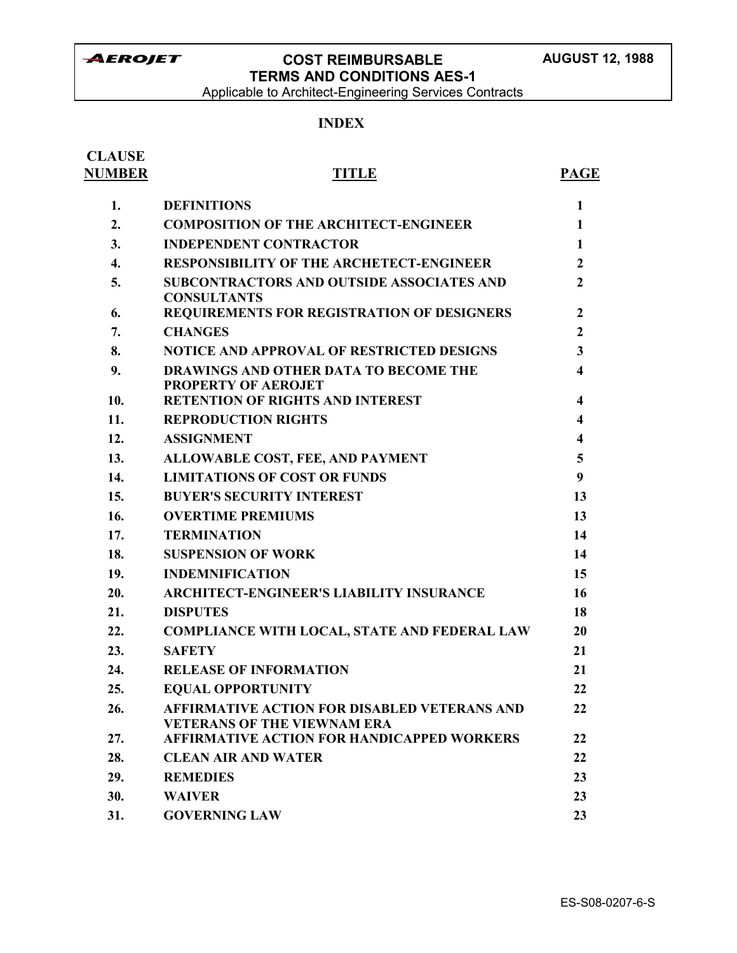Applicable to Architect-Engineering Services Contracts

### **INDEX**

| <b>CLAUSE</b><br><b>NUMBER</b> | <b>TITLE</b>                                                                              | <b>PAGE</b>             |
|--------------------------------|-------------------------------------------------------------------------------------------|-------------------------|
| 1.                             | <b>DEFINITIONS</b>                                                                        | $\mathbf{1}$            |
| 2.                             | <b>COMPOSITION OF THE ARCHITECT-ENGINEER</b>                                              | $\mathbf{1}$            |
| 3.                             | <b>INDEPENDENT CONTRACTOR</b>                                                             | 1                       |
| $\overline{4}$ .               | <b>RESPONSIBILITY OF THE ARCHETECT-ENGINEER</b>                                           | $\mathbf{2}$            |
| 5.                             | <b>SUBCONTRACTORS AND OUTSIDE ASSOCIATES AND</b><br><b>CONSULTANTS</b>                    | $\mathbf{2}$            |
| 6.                             | REQUIREMENTS FOR REGISTRATION OF DESIGNERS                                                | $\mathbf{2}$            |
| 7.                             | <b>CHANGES</b>                                                                            | $\mathbf{2}$            |
| 8.                             | <b>NOTICE AND APPROVAL OF RESTRICTED DESIGNS</b>                                          | $\mathbf{3}$            |
| 9.                             | DRAWINGS AND OTHER DATA TO BECOME THE<br><b>PROPERTY OF AEROJET</b>                       | $\overline{\mathbf{4}}$ |
| 10.                            | <b>RETENTION OF RIGHTS AND INTEREST</b>                                                   | 4                       |
| 11.                            | <b>REPRODUCTION RIGHTS</b>                                                                | 4                       |
| 12.                            | <b>ASSIGNMENT</b>                                                                         | 4                       |
| 13.                            | ALLOWABLE COST, FEE, AND PAYMENT                                                          | 5                       |
| 14.                            | <b>LIMITATIONS OF COST OR FUNDS</b>                                                       | 9                       |
| 15.                            | <b>BUYER'S SECURITY INTEREST</b>                                                          | 13                      |
| 16.                            | <b>OVERTIME PREMIUMS</b>                                                                  | 13                      |
| 17.                            | <b>TERMINATION</b>                                                                        | 14                      |
| 18.                            | <b>SUSPENSION OF WORK</b>                                                                 | 14                      |
| 19.                            | <b>INDEMNIFICATION</b>                                                                    | 15                      |
| 20.                            | <b>ARCHITECT-ENGINEER'S LIABILITY INSURANCE</b>                                           | 16                      |
| 21.                            | <b>DISPUTES</b>                                                                           | 18                      |
| 22.                            | <b>COMPLIANCE WITH LOCAL, STATE AND FEDERAL LAW</b>                                       | 20                      |
| 23.                            | <b>SAFETY</b>                                                                             | 21                      |
| 24.                            | <b>RELEASE OF INFORMATION</b>                                                             | 21                      |
| 25.                            | <b>EQUAL OPPORTUNITY</b>                                                                  | 22                      |
| 26.                            | <b>AFFIRMATIVE ACTION FOR DISABLED VETERANS AND</b><br><b>VETERANS OF THE VIEWNAM ERA</b> | 22                      |
| 27.                            | <b>AFFIRMATIVE ACTION FOR HANDICAPPED WORKERS</b>                                         | 22                      |
| 28.                            | <b>CLEAN AIR AND WATER</b>                                                                | 22                      |
| 29.                            | <b>REMEDIES</b>                                                                           | 23                      |
| 30.                            | <b>WAIVER</b>                                                                             | 23                      |
| 31.                            | <b>GOVERNING LAW</b>                                                                      | 23                      |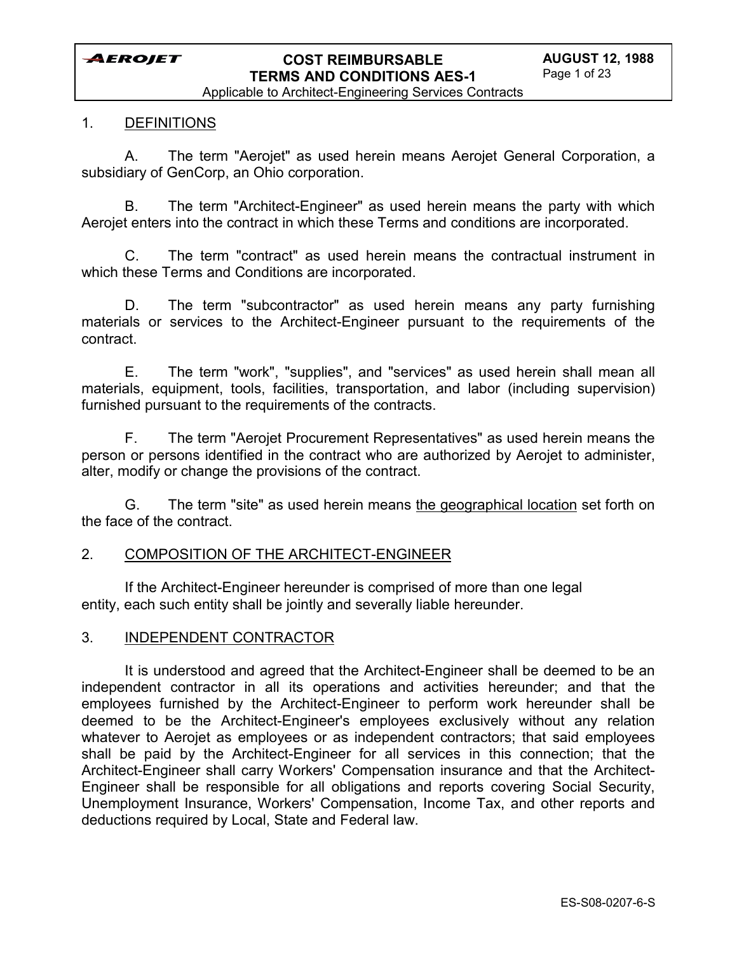Applicable to Architect-Engineering Services Contracts

#### 1. DEFINITIONS

A. The term "Aerojet" as used herein means Aerojet General Corporation, a subsidiary of GenCorp, an Ohio corporation.

B. The term "Architect-Engineer" as used herein means the party with which Aerojet enters into the contract in which these Terms and conditions are incorporated.

C. The term "contract" as used herein means the contractual instrument in which these Terms and Conditions are incorporated.

D. The term "subcontractor" as used herein means any party furnishing materials or services to the Architect-Engineer pursuant to the requirements of the contract.

E. The term "work", "supplies", and "services" as used herein shall mean all materials, equipment, tools, facilities, transportation, and labor (including supervision) furnished pursuant to the requirements of the contracts.

F. The term "Aerojet Procurement Representatives" as used herein means the person or persons identified in the contract who are authorized by Aerojet to administer, alter, modify or change the provisions of the contract.

G. The term "site" as used herein means the geographical location set forth on the face of the contract.

#### 2. COMPOSITION OF THE ARCHITECT-ENGINEER

If the Architect-Engineer hereunder is comprised of more than one legal entity, each such entity shall be jointly and severally liable hereunder.

#### 3. INDEPENDENT CONTRACTOR

It is understood and agreed that the Architect-Engineer shall be deemed to be an independent contractor in all its operations and activities hereunder; and that the employees furnished by the Architect-Engineer to perform work hereunder shall be deemed to be the Architect-Engineer's employees exclusively without any relation whatever to Aerojet as employees or as independent contractors; that said employees shall be paid by the Architect-Engineer for all services in this connection; that the Architect-Engineer shall carry Workers' Compensation insurance and that the Architect-Engineer shall be responsible for all obligations and reports covering Social Security, Unemployment Insurance, Workers' Compensation, Income Tax, and other reports and deductions required by Local, State and Federal law.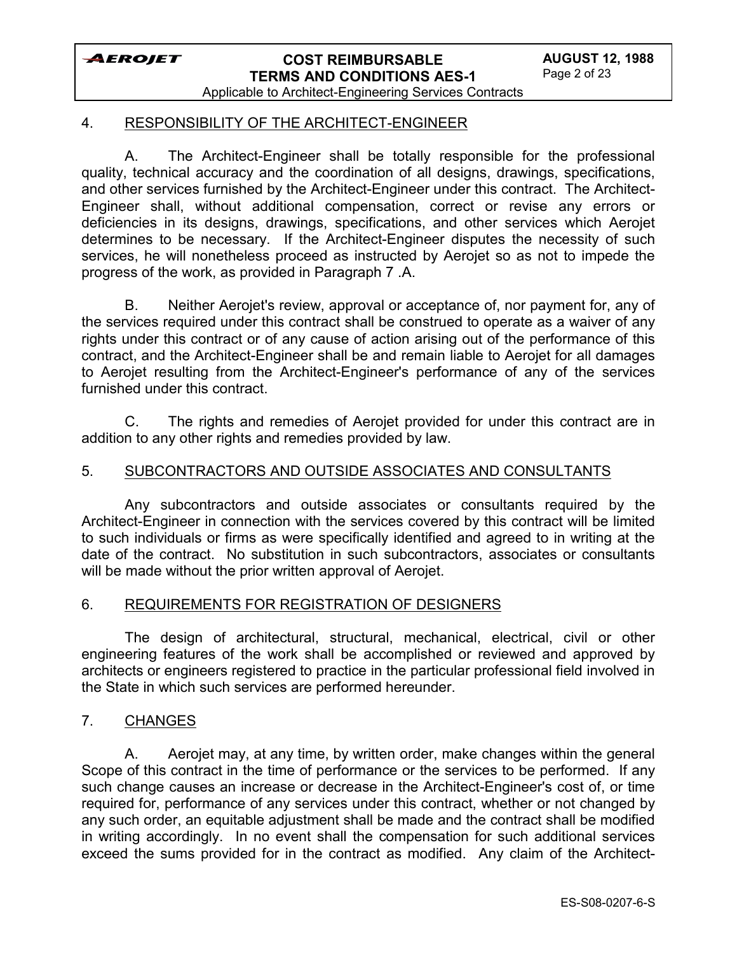

Applicable to Architect-Engineering Services Contracts

### 4. RESPONSIBILITY OF THE ARCHITECT-ENGINEER

A. The Architect-Engineer shall be totally responsible for the professional quality, technical accuracy and the coordination of all designs, drawings, specifications, and other services furnished by the Architect-Engineer under this contract. The Architect-Engineer shall, without additional compensation, correct or revise any errors or deficiencies in its designs, drawings, specifications, and other services which Aerojet determines to be necessary. If the Architect-Engineer disputes the necessity of such services, he will nonetheless proceed as instructed by Aerojet so as not to impede the progress of the work, as provided in Paragraph 7 .A.

B. Neither Aerojet's review, approval or acceptance of, nor payment for, any of the services required under this contract shall be construed to operate as a waiver of any rights under this contract or of any cause of action arising out of the performance of this contract, and the Architect-Engineer shall be and remain liable to Aerojet for all damages to Aerojet resulting from the Architect-Engineer's performance of any of the services furnished under this contract.

C. The rights and remedies of Aerojet provided for under this contract are in addition to any other rights and remedies provided by law.

### 5. SUBCONTRACTORS AND OUTSIDE ASSOCIATES AND CONSULTANTS

Any subcontractors and outside associates or consultants required by the Architect-Engineer in connection with the services covered by this contract will be limited to such individuals or firms as were specifically identified and agreed to in writing at the date of the contract. No substitution in such subcontractors, associates or consultants will be made without the prior written approval of Aerojet.

#### 6. REQUIREMENTS FOR REGISTRATION OF DESIGNERS

The design of architectural, structural, mechanical, electrical, civil or other engineering features of the work shall be accomplished or reviewed and approved by architects or engineers registered to practice in the particular professional field involved in the State in which such services are performed hereunder.

#### 7. CHANGES

A. Aerojet may, at any time, by written order, make changes within the general Scope of this contract in the time of performance or the services to be performed. If any such change causes an increase or decrease in the Architect-Engineer's cost of, or time required for, performance of any services under this contract, whether or not changed by any such order, an equitable adjustment shall be made and the contract shall be modified in writing accordingly. In no event shall the compensation for such additional services exceed the sums provided for in the contract as modified. Any claim of the Architect-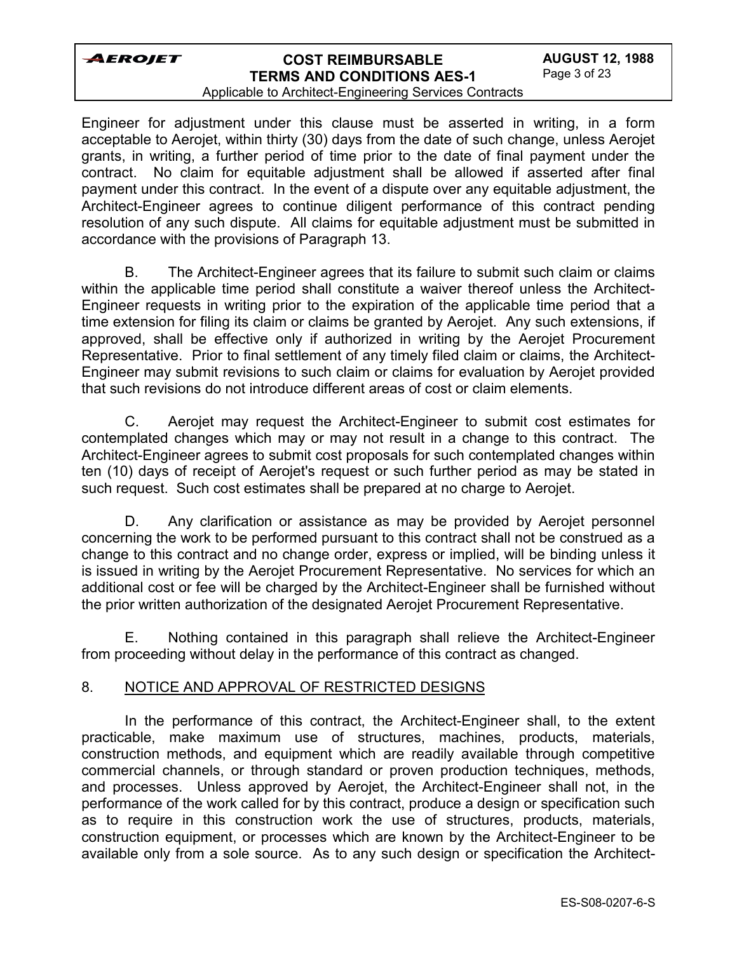# **COST REIMBURSABLE TERMS AND CONDITIONS AES-1**

#### Applicable to Architect-Engineering Services Contracts

Engineer for adjustment under this clause must be asserted in writing, in a form acceptable to Aerojet, within thirty (30) days from the date of such change, unless Aerojet grants, in writing, a further period of time prior to the date of final payment under the contract. No claim for equitable adjustment shall be allowed if asserted after final payment under this contract. In the event of a dispute over any equitable adjustment, the Architect-Engineer agrees to continue diligent performance of this contract pending resolution of any such dispute. All claims for equitable adjustment must be submitted in accordance with the provisions of Paragraph 13.

B. The Architect-Engineer agrees that its failure to submit such claim or claims within the applicable time period shall constitute a waiver thereof unless the Architect-Engineer requests in writing prior to the expiration of the applicable time period that a time extension for filing its claim or claims be granted by Aerojet. Any such extensions, if approved, shall be effective only if authorized in writing by the Aerojet Procurement Representative. Prior to final settlement of any timely filed claim or claims, the Architect-Engineer may submit revisions to such claim or claims for evaluation by Aerojet provided that such revisions do not introduce different areas of cost or claim elements.

C. Aerojet may request the Architect-Engineer to submit cost estimates for contemplated changes which may or may not result in a change to this contract. The Architect-Engineer agrees to submit cost proposals for such contemplated changes within ten (10) days of receipt of Aerojet's request or such further period as may be stated in such request. Such cost estimates shall be prepared at no charge to Aerojet.

D. Any clarification or assistance as may be provided by Aerojet personnel concerning the work to be performed pursuant to this contract shall not be construed as a change to this contract and no change order, express or implied, will be binding unless it is issued in writing by the Aerojet Procurement Representative. No services for which an additional cost or fee will be charged by the Architect-Engineer shall be furnished without the prior written authorization of the designated Aerojet Procurement Representative.

E. Nothing contained in this paragraph shall relieve the Architect-Engineer from proceeding without delay in the performance of this contract as changed.

### 8. NOTICE AND APPROVAL OF RESTRICTED DESIGNS

In the performance of this contract, the Architect-Engineer shall, to the extent practicable, make maximum use of structures, machines, products, materials, construction methods, and equipment which are readily available through competitive commercial channels, or through standard or proven production techniques, methods, and processes. Unless approved by Aerojet, the Architect-Engineer shall not, in the performance of the work called for by this contract, produce a design or specification such as to require in this construction work the use of structures, products, materials, construction equipment, or processes which are known by the Architect-Engineer to be available only from a sole source. As to any such design or specification the Architect-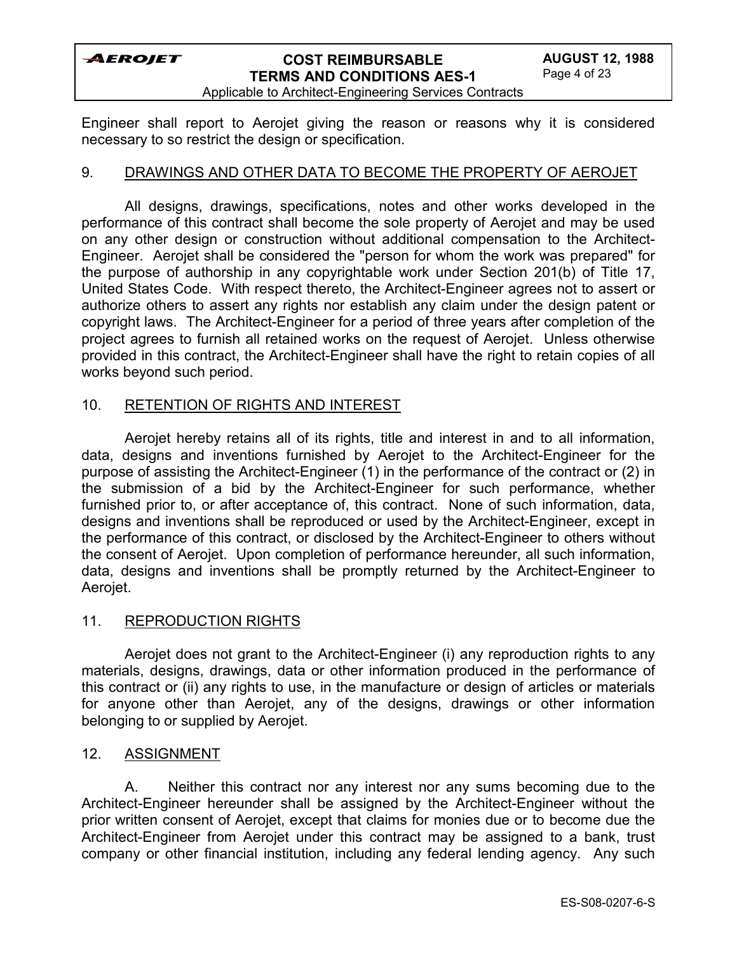# **COST REIMBURSABLE TERMS AND CONDITIONS AES-1**

Applicable to Architect-Engineering Services Contracts

Engineer shall report to Aerojet giving the reason or reasons why it is considered necessary to so restrict the design or specification.

### 9. DRAWINGS AND OTHER DATA TO BECOME THE PROPERTY OF AEROJET

All designs, drawings, specifications, notes and other works developed in the performance of this contract shall become the sole property of Aerojet and may be used on any other design or construction without additional compensation to the Architect-Engineer. Aerojet shall be considered the "person for whom the work was prepared" for the purpose of authorship in any copyrightable work under Section 201(b) of Title 17, United States Code. With respect thereto, the Architect-Engineer agrees not to assert or authorize others to assert any rights nor establish any claim under the design patent or copyright laws. The Architect-Engineer for a period of three years after completion of the project agrees to furnish all retained works on the request of Aerojet. Unless otherwise provided in this contract, the Architect-Engineer shall have the right to retain copies of all works beyond such period.

### 10. RETENTION OF RIGHTS AND INTEREST

Aerojet hereby retains all of its rights, title and interest in and to all information, data, designs and inventions furnished by Aerojet to the Architect-Engineer for the purpose of assisting the Architect-Engineer (1) in the performance of the contract or (2) in the submission of a bid by the Architect-Engineer for such performance, whether furnished prior to, or after acceptance of, this contract. None of such information, data, designs and inventions shall be reproduced or used by the Architect-Engineer, except in the performance of this contract, or disclosed by the Architect-Engineer to others without the consent of Aerojet. Upon completion of performance hereunder, all such information, data, designs and inventions shall be promptly returned by the Architect-Engineer to Aerojet.

#### 11. REPRODUCTION RIGHTS

Aerojet does not grant to the Architect-Engineer (i) any reproduction rights to any materials, designs, drawings, data or other information produced in the performance of this contract or (ii) any rights to use, in the manufacture or design of articles or materials for anyone other than Aerojet, any of the designs, drawings or other information belonging to or supplied by Aerojet.

#### 12. ASSIGNMENT

A. Neither this contract nor any interest nor any sums becoming due to the Architect-Engineer hereunder shall be assigned by the Architect-Engineer without the prior written consent of Aerojet, except that claims for monies due or to become due the Architect-Engineer from Aerojet under this contract may be assigned to a bank, trust company or other financial institution, including any federal lending agency. Any such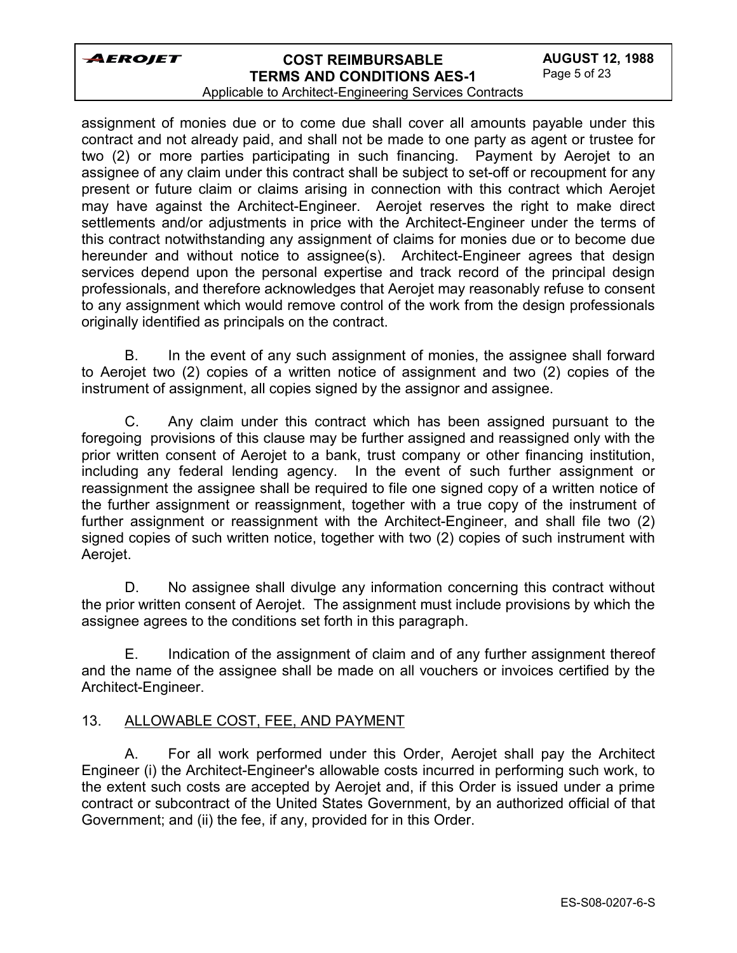# **COST REIMBURSABLE TERMS AND CONDITIONS AES-1**

#### Applicable to Architect-Engineering Services Contracts

assignment of monies due or to come due shall cover all amounts payable under this contract and not already paid, and shall not be made to one party as agent or trustee for two (2) or more parties participating in such financing. Payment by Aerojet to an assignee of any claim under this contract shall be subject to set-off or recoupment for any present or future claim or claims arising in connection with this contract which Aerojet may have against the Architect-Engineer. Aerojet reserves the right to make direct settlements and/or adjustments in price with the Architect-Engineer under the terms of this contract notwithstanding any assignment of claims for monies due or to become due hereunder and without notice to assignee(s). Architect-Engineer agrees that design services depend upon the personal expertise and track record of the principal design professionals, and therefore acknowledges that Aerojet may reasonably refuse to consent to any assignment which would remove control of the work from the design professionals originally identified as principals on the contract.

B. In the event of any such assignment of monies, the assignee shall forward to Aerojet two (2) copies of a written notice of assignment and two (2) copies of the instrument of assignment, all copies signed by the assignor and assignee.

C. Any claim under this contract which has been assigned pursuant to the foregoing provisions of this clause may be further assigned and reassigned only with the prior written consent of Aerojet to a bank, trust company or other financing institution, including any federal lending agency. In the event of such further assignment or reassignment the assignee shall be required to file one signed copy of a written notice of the further assignment or reassignment, together with a true copy of the instrument of further assignment or reassignment with the Architect-Engineer, and shall file two (2) signed copies of such written notice, together with two (2) copies of such instrument with Aerojet.

D. No assignee shall divulge any information concerning this contract without the prior written consent of Aerojet. The assignment must include provisions by which the assignee agrees to the conditions set forth in this paragraph.

E. Indication of the assignment of claim and of any further assignment thereof and the name of the assignee shall be made on all vouchers or invoices certified by the Architect-Engineer.

### 13. ALLOWABLE COST, FEE, AND PAYMENT

A. For all work performed under this Order, Aerojet shall pay the Architect Engineer (i) the Architect-Engineer's allowable costs incurred in performing such work, to the extent such costs are accepted by Aerojet and, if this Order is issued under a prime contract or subcontract of the United States Government, by an authorized official of that Government; and (ii) the fee, if any, provided for in this Order.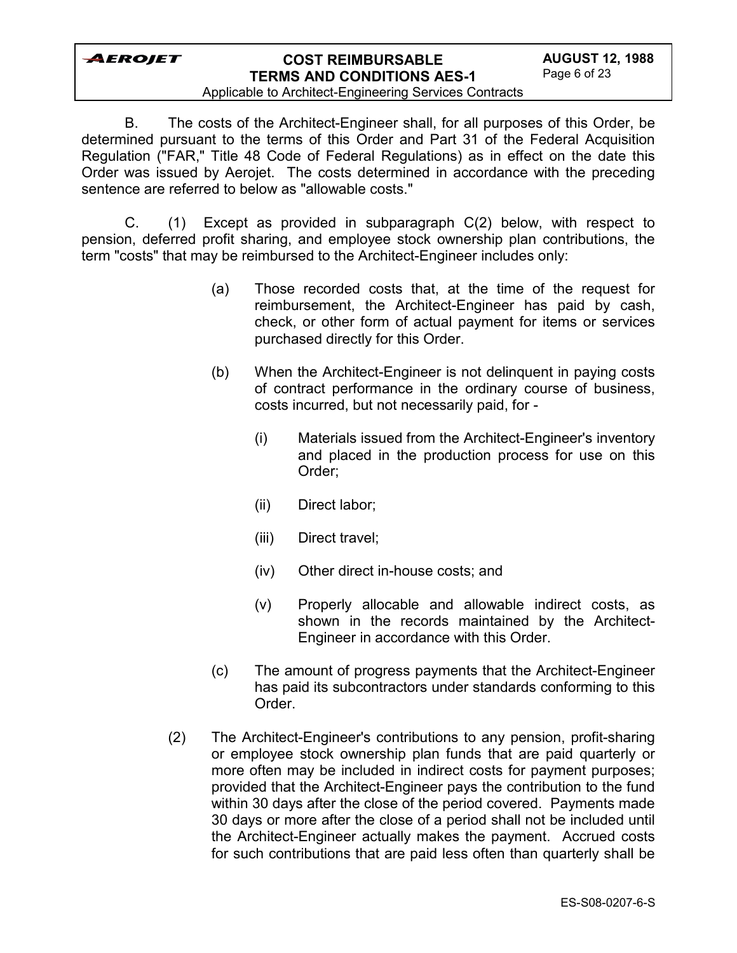# **COST REIMBURSABLE TERMS AND CONDITIONS AES-1**

#### Applicable to Architect-Engineering Services Contracts

B. The costs of the Architect-Engineer shall, for all purposes of this Order, be determined pursuant to the terms of this Order and Part 31 of the Federal Acquisition Regulation ("FAR," Title 48 Code of Federal Regulations) as in effect on the date this Order was issued by Aerojet. The costs determined in accordance with the preceding sentence are referred to below as "allowable costs."

C. (1) Except as provided in subparagraph C(2) below, with respect to pension, deferred profit sharing, and employee stock ownership plan contributions, the term "costs" that may be reimbursed to the Architect-Engineer includes only:

- (a) Those recorded costs that, at the time of the request for reimbursement, the Architect-Engineer has paid by cash, check, or other form of actual payment for items or services purchased directly for this Order.
- (b) When the Architect-Engineer is not delinquent in paying costs of contract performance in the ordinary course of business, costs incurred, but not necessarily paid, for -
	- (i) Materials issued from the Architect-Engineer's inventory and placed in the production process for use on this Order;
	- (ii) Direct labor;
	- (iii) Direct travel;
	- (iv) Other direct in-house costs; and
	- (v) Properly allocable and allowable indirect costs, as shown in the records maintained by the Architect-Engineer in accordance with this Order.
- (c) The amount of progress payments that the Architect-Engineer has paid its subcontractors under standards conforming to this Order.
- (2) The Architect-Engineer's contributions to any pension, profit-sharing or employee stock ownership plan funds that are paid quarterly or more often may be included in indirect costs for payment purposes; provided that the Architect-Engineer pays the contribution to the fund within 30 days after the close of the period covered. Payments made 30 days or more after the close of a period shall not be included until the Architect-Engineer actually makes the payment. Accrued costs for such contributions that are paid less often than quarterly shall be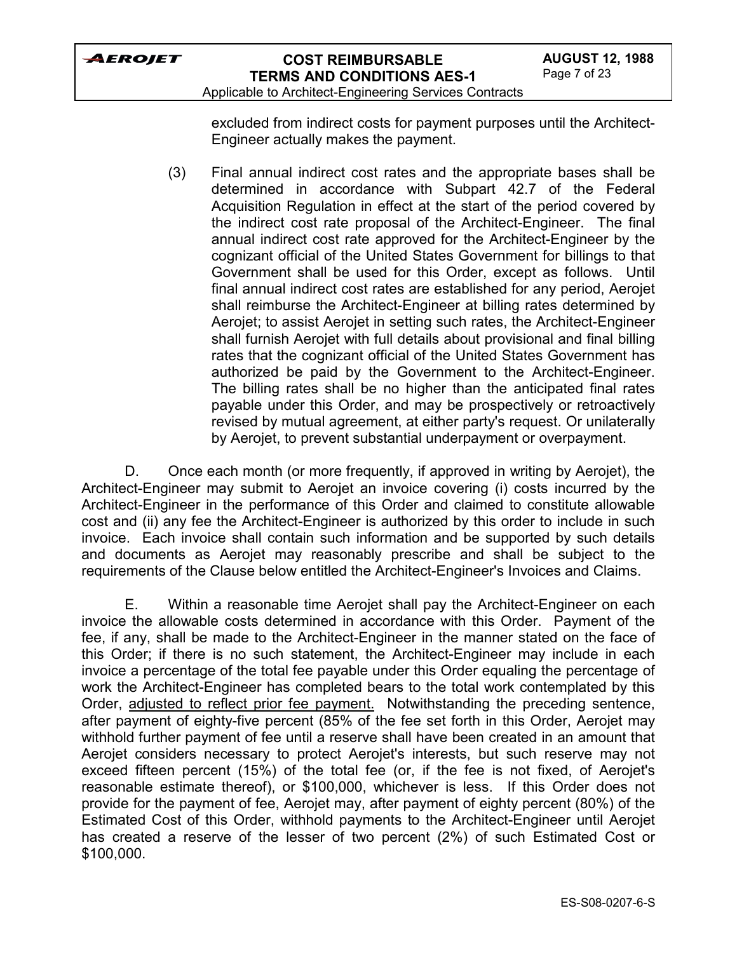

Applicable to Architect-Engineering Services Contracts

excluded from indirect costs for payment purposes until the Architect-Engineer actually makes the payment.

(3) Final annual indirect cost rates and the appropriate bases shall be determined in accordance with Subpart 42.7 of the Federal Acquisition Regulation in effect at the start of the period covered by the indirect cost rate proposal of the Architect-Engineer. The final annual indirect cost rate approved for the Architect-Engineer by the cognizant official of the United States Government for billings to that Government shall be used for this Order, except as follows. Until final annual indirect cost rates are established for any period, Aerojet shall reimburse the Architect-Engineer at billing rates determined by Aerojet; to assist Aerojet in setting such rates, the Architect-Engineer shall furnish Aerojet with full details about provisional and final billing rates that the cognizant official of the United States Government has authorized be paid by the Government to the Architect-Engineer. The billing rates shall be no higher than the anticipated final rates payable under this Order, and may be prospectively or retroactively revised by mutual agreement, at either party's request. Or unilaterally by Aerojet, to prevent substantial underpayment or overpayment.

D. Once each month (or more frequently, if approved in writing by Aerojet), the Architect-Engineer may submit to Aerojet an invoice covering (i) costs incurred by the Architect-Engineer in the performance of this Order and claimed to constitute allowable cost and (ii) any fee the Architect-Engineer is authorized by this order to include in such invoice. Each invoice shall contain such information and be supported by such details and documents as Aerojet may reasonably prescribe and shall be subject to the requirements of the Clause below entitled the Architect-Engineer's Invoices and Claims.

E. Within a reasonable time Aerojet shall pay the Architect-Engineer on each invoice the allowable costs determined in accordance with this Order. Payment of the fee, if any, shall be made to the Architect-Engineer in the manner stated on the face of this Order; if there is no such statement, the Architect-Engineer may include in each invoice a percentage of the total fee payable under this Order equaling the percentage of work the Architect-Engineer has completed bears to the total work contemplated by this Order, adjusted to reflect prior fee payment. Notwithstanding the preceding sentence, after payment of eighty-five percent (85% of the fee set forth in this Order, Aerojet may withhold further payment of fee until a reserve shall have been created in an amount that Aerojet considers necessary to protect Aerojet's interests, but such reserve may not exceed fifteen percent (15%) of the total fee (or, if the fee is not fixed, of Aerojet's reasonable estimate thereof), or \$100,000, whichever is less. If this Order does not provide for the payment of fee, Aerojet may, after payment of eighty percent (80%) of the Estimated Cost of this Order, withhold payments to the Architect-Engineer until Aerojet has created a reserve of the lesser of two percent (2%) of such Estimated Cost or \$100,000.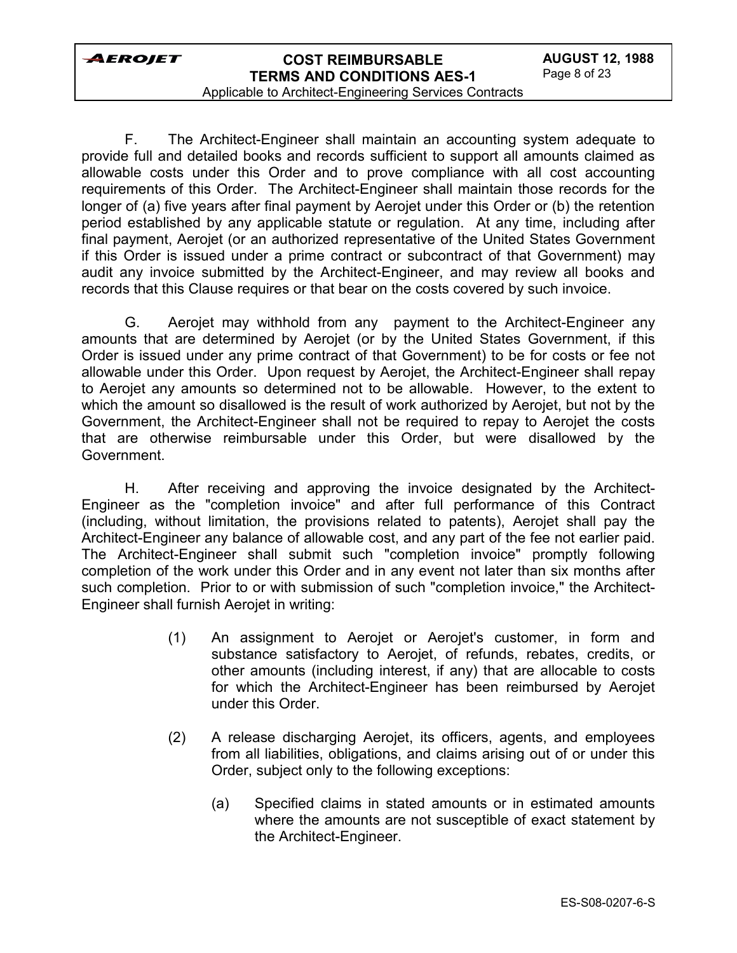

Applicable to Architect-Engineering Services Contracts

F. The Architect-Engineer shall maintain an accounting system adequate to provide full and detailed books and records sufficient to support all amounts claimed as allowable costs under this Order and to prove compliance with all cost accounting requirements of this Order. The Architect-Engineer shall maintain those records for the longer of (a) five years after final payment by Aerojet under this Order or (b) the retention period established by any applicable statute or regulation. At any time, including after final payment, Aerojet (or an authorized representative of the United States Government if this Order is issued under a prime contract or subcontract of that Government) may audit any invoice submitted by the Architect-Engineer, and may review all books and records that this Clause requires or that bear on the costs covered by such invoice.

G. Aerojet may withhold from any payment to the Architect-Engineer any amounts that are determined by Aerojet (or by the United States Government, if this Order is issued under any prime contract of that Government) to be for costs or fee not allowable under this Order. Upon request by Aerojet, the Architect-Engineer shall repay to Aerojet any amounts so determined not to be allowable. However, to the extent to which the amount so disallowed is the result of work authorized by Aerojet, but not by the Government, the Architect-Engineer shall not be required to repay to Aerojet the costs that are otherwise reimbursable under this Order, but were disallowed by the Government.

H. After receiving and approving the invoice designated by the Architect-Engineer as the "completion invoice" and after full performance of this Contract (including, without limitation, the provisions related to patents), Aerojet shall pay the Architect-Engineer any balance of allowable cost, and any part of the fee not earlier paid. The Architect-Engineer shall submit such "completion invoice" promptly following completion of the work under this Order and in any event not later than six months after such completion. Prior to or with submission of such "completion invoice," the Architect-Engineer shall furnish Aerojet in writing:

- (1) An assignment to Aerojet or Aerojet's customer, in form and substance satisfactory to Aerojet, of refunds, rebates, credits, or other amounts (including interest, if any) that are allocable to costs for which the Architect-Engineer has been reimbursed by Aerojet under this Order.
- (2) A release discharging Aerojet, its officers, agents, and employees from all liabilities, obligations, and claims arising out of or under this Order, subject only to the following exceptions:
	- (a) Specified claims in stated amounts or in estimated amounts where the amounts are not susceptible of exact statement by the Architect-Engineer.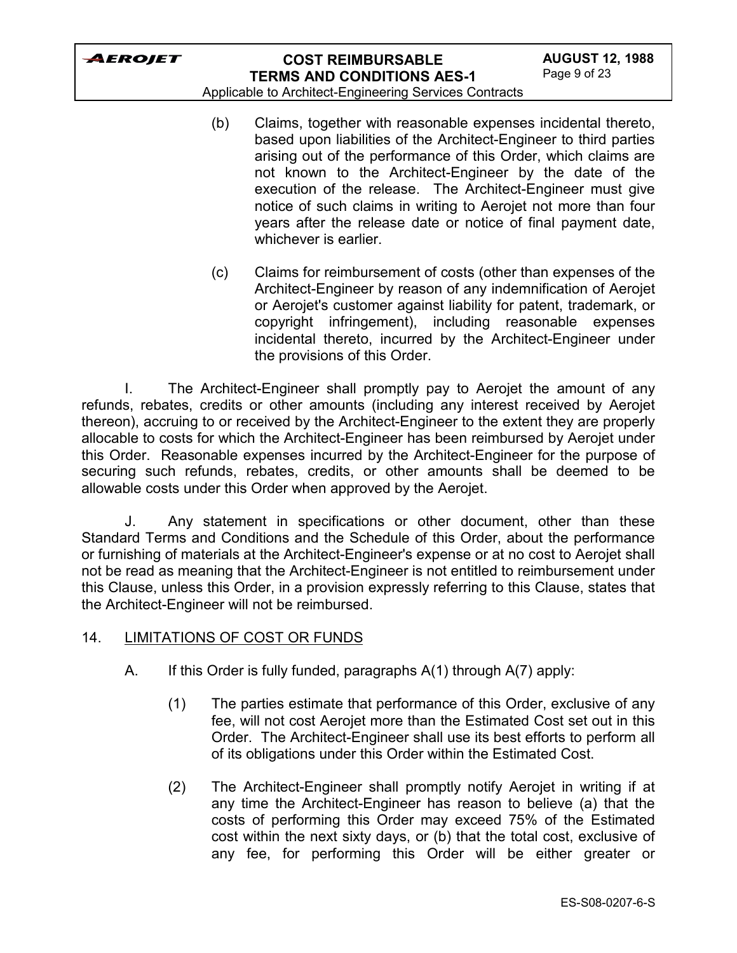## **COST REIMBURSABLE TERMS AND CONDITIONS AES-1**

Applicable to Architect-Engineering Services Contracts

- (b) Claims, together with reasonable expenses incidental thereto, based upon liabilities of the Architect-Engineer to third parties arising out of the performance of this Order, which claims are not known to the Architect-Engineer by the date of the execution of the release. The Architect-Engineer must give notice of such claims in writing to Aerojet not more than four years after the release date or notice of final payment date, whichever is earlier.
- (c) Claims for reimbursement of costs (other than expenses of the Architect-Engineer by reason of any indemnification of Aerojet or Aerojet's customer against liability for patent, trademark, or copyright infringement), including reasonable expenses incidental thereto, incurred by the Architect-Engineer under the provisions of this Order.

I. The Architect-Engineer shall promptly pay to Aerojet the amount of any refunds, rebates, credits or other amounts (including any interest received by Aerojet thereon), accruing to or received by the Architect-Engineer to the extent they are properly allocable to costs for which the Architect-Engineer has been reimbursed by Aerojet under this Order. Reasonable expenses incurred by the Architect-Engineer for the purpose of securing such refunds, rebates, credits, or other amounts shall be deemed to be allowable costs under this Order when approved by the Aerojet.

J. Any statement in specifications or other document, other than these Standard Terms and Conditions and the Schedule of this Order, about the performance or furnishing of materials at the Architect-Engineer's expense or at no cost to Aerojet shall not be read as meaning that the Architect-Engineer is not entitled to reimbursement under this Clause, unless this Order, in a provision expressly referring to this Clause, states that the Architect-Engineer will not be reimbursed.

- 14. LIMITATIONS OF COST OR FUNDS
	- A. If this Order is fully funded, paragraphs A(1) through A(7) apply:
		- (1) The parties estimate that performance of this Order, exclusive of any fee, will not cost Aerojet more than the Estimated Cost set out in this Order. The Architect-Engineer shall use its best efforts to perform all of its obligations under this Order within the Estimated Cost.
		- (2) The Architect-Engineer shall promptly notify Aerojet in writing if at any time the Architect-Engineer has reason to believe (a) that the costs of performing this Order may exceed 75% of the Estimated cost within the next sixty days, or (b) that the total cost, exclusive of any fee, for performing this Order will be either greater or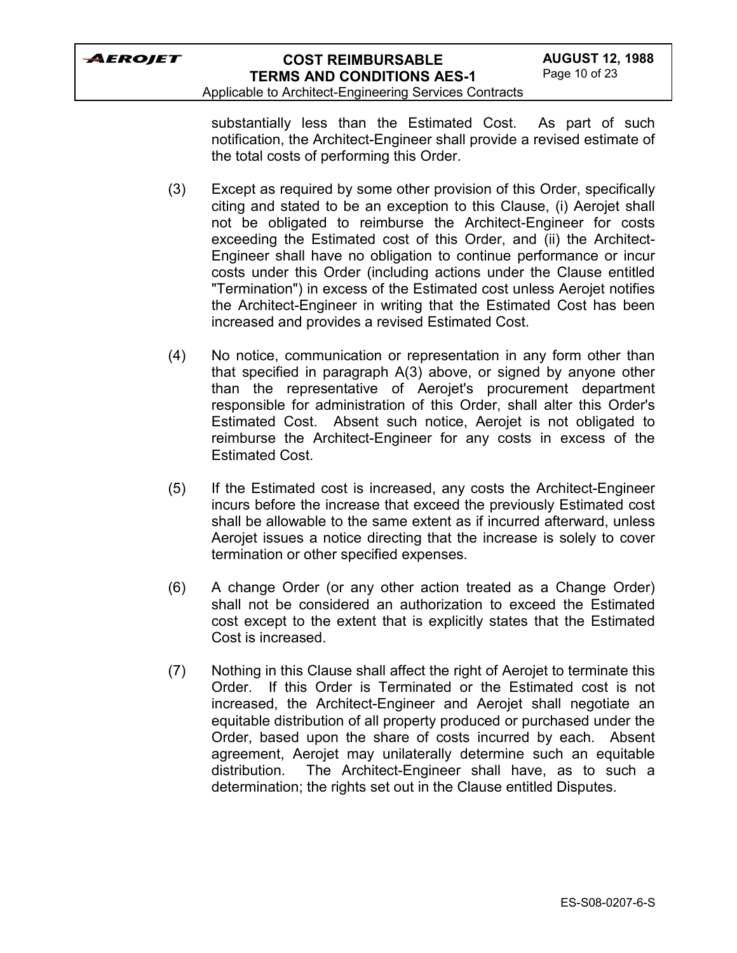Applicable to Architect-Engineering Services Contracts

substantially less than the Estimated Cost. As part of such notification, the Architect-Engineer shall provide a revised estimate of the total costs of performing this Order.

- (3) Except as required by some other provision of this Order, specifically citing and stated to be an exception to this Clause, (i) Aerojet shall not be obligated to reimburse the Architect-Engineer for costs exceeding the Estimated cost of this Order, and (ii) the Architect-Engineer shall have no obligation to continue performance or incur costs under this Order (including actions under the Clause entitled "Termination") in excess of the Estimated cost unless Aerojet notifies the Architect-Engineer in writing that the Estimated Cost has been increased and provides a revised Estimated Cost.
- (4) No notice, communication or representation in any form other than that specified in paragraph A(3) above, or signed by anyone other than the representative of Aerojet's procurement department responsible for administration of this Order, shall alter this Order's Estimated Cost. Absent such notice, Aerojet is not obligated to reimburse the Architect-Engineer for any costs in excess of the Estimated Cost.
- (5) If the Estimated cost is increased, any costs the Architect-Engineer incurs before the increase that exceed the previously Estimated cost shall be allowable to the same extent as if incurred afterward, unless Aerojet issues a notice directing that the increase is solely to cover termination or other specified expenses.
- (6) A change Order (or any other action treated as a Change Order) shall not be considered an authorization to exceed the Estimated cost except to the extent that is explicitly states that the Estimated Cost is increased.
- (7) Nothing in this Clause shall affect the right of Aerojet to terminate this Order. If this Order is Terminated or the Estimated cost is not increased, the Architect-Engineer and Aerojet shall negotiate an equitable distribution of all property produced or purchased under the Order, based upon the share of costs incurred by each. Absent agreement, Aerojet may unilaterally determine such an equitable distribution. The Architect-Engineer shall have, as to such a determination; the rights set out in the Clause entitled Disputes.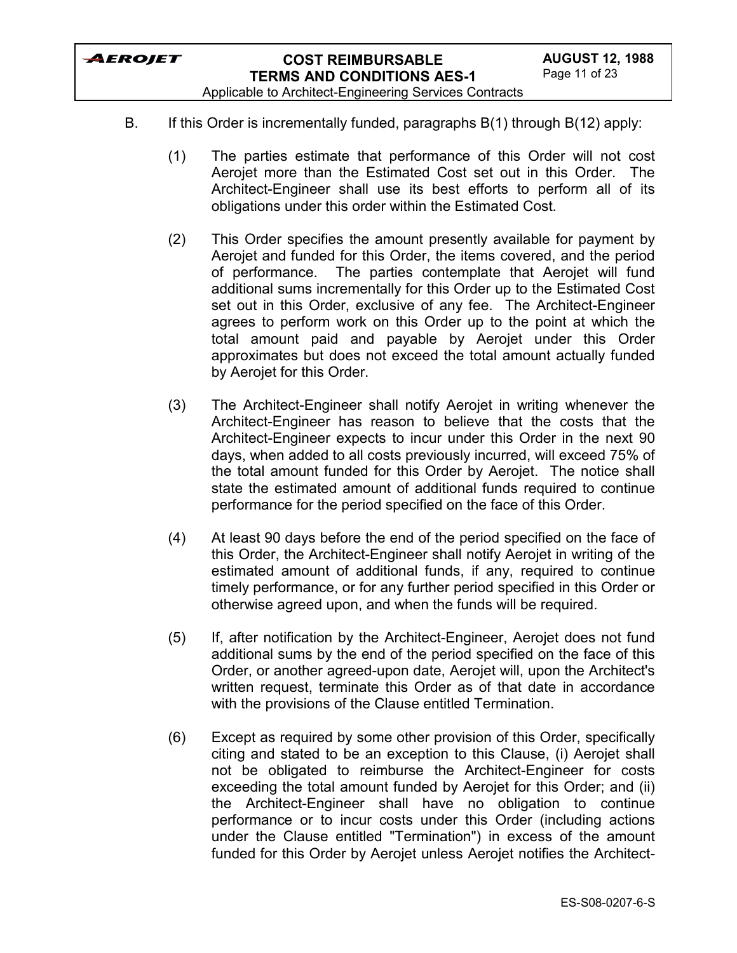Applicable to Architect-Engineering Services Contracts

- B. If this Order is incrementally funded, paragraphs B(1) through B(12) apply:
	- (1) The parties estimate that performance of this Order will not cost Aerojet more than the Estimated Cost set out in this Order. The Architect-Engineer shall use its best efforts to perform all of its obligations under this order within the Estimated Cost.
	- (2) This Order specifies the amount presently available for payment by Aerojet and funded for this Order, the items covered, and the period of performance. The parties contemplate that Aerojet will fund additional sums incrementally for this Order up to the Estimated Cost set out in this Order, exclusive of any fee. The Architect-Engineer agrees to perform work on this Order up to the point at which the total amount paid and payable by Aerojet under this Order approximates but does not exceed the total amount actually funded by Aerojet for this Order.
	- (3) The Architect-Engineer shall notify Aerojet in writing whenever the Architect-Engineer has reason to believe that the costs that the Architect-Engineer expects to incur under this Order in the next 90 days, when added to all costs previously incurred, will exceed 75% of the total amount funded for this Order by Aerojet. The notice shall state the estimated amount of additional funds required to continue performance for the period specified on the face of this Order.
	- (4) At least 90 days before the end of the period specified on the face of this Order, the Architect-Engineer shall notify Aerojet in writing of the estimated amount of additional funds, if any, required to continue timely performance, or for any further period specified in this Order or otherwise agreed upon, and when the funds will be required.
	- (5) If, after notification by the Architect-Engineer, Aerojet does not fund additional sums by the end of the period specified on the face of this Order, or another agreed-upon date, Aerojet will, upon the Architect's written request, terminate this Order as of that date in accordance with the provisions of the Clause entitled Termination.
	- (6) Except as required by some other provision of this Order, specifically citing and stated to be an exception to this Clause, (i) Aerojet shall not be obligated to reimburse the Architect-Engineer for costs exceeding the total amount funded by Aerojet for this Order; and (ii) the Architect-Engineer shall have no obligation to continue performance or to incur costs under this Order (including actions under the Clause entitled "Termination") in excess of the amount funded for this Order by Aerojet unless Aerojet notifies the Architect-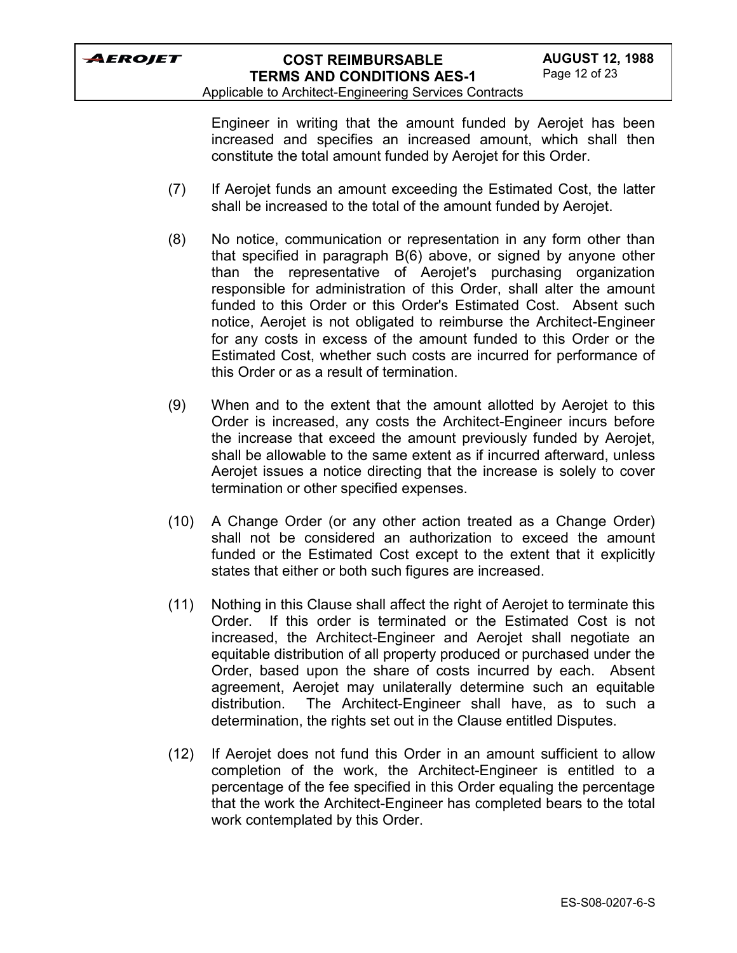Applicable to Architect-Engineering Services Contracts

Engineer in writing that the amount funded by Aerojet has been increased and specifies an increased amount, which shall then constitute the total amount funded by Aerojet for this Order.

- (7) If Aerojet funds an amount exceeding the Estimated Cost, the latter shall be increased to the total of the amount funded by Aerojet.
- (8) No notice, communication or representation in any form other than that specified in paragraph B(6) above, or signed by anyone other than the representative of Aerojet's purchasing organization responsible for administration of this Order, shall alter the amount funded to this Order or this Order's Estimated Cost. Absent such notice, Aerojet is not obligated to reimburse the Architect-Engineer for any costs in excess of the amount funded to this Order or the Estimated Cost, whether such costs are incurred for performance of this Order or as a result of termination.
- (9) When and to the extent that the amount allotted by Aerojet to this Order is increased, any costs the Architect-Engineer incurs before the increase that exceed the amount previously funded by Aerojet, shall be allowable to the same extent as if incurred afterward, unless Aerojet issues a notice directing that the increase is solely to cover termination or other specified expenses.
- (10) A Change Order (or any other action treated as a Change Order) shall not be considered an authorization to exceed the amount funded or the Estimated Cost except to the extent that it explicitly states that either or both such figures are increased.
- (11) Nothing in this Clause shall affect the right of Aerojet to terminate this Order. If this order is terminated or the Estimated Cost is not increased, the Architect-Engineer and Aerojet shall negotiate an equitable distribution of all property produced or purchased under the Order, based upon the share of costs incurred by each. Absent agreement, Aerojet may unilaterally determine such an equitable distribution. The Architect-Engineer shall have, as to such a determination, the rights set out in the Clause entitled Disputes.
- (12) If Aerojet does not fund this Order in an amount sufficient to allow completion of the work, the Architect-Engineer is entitled to a percentage of the fee specified in this Order equaling the percentage that the work the Architect-Engineer has completed bears to the total work contemplated by this Order.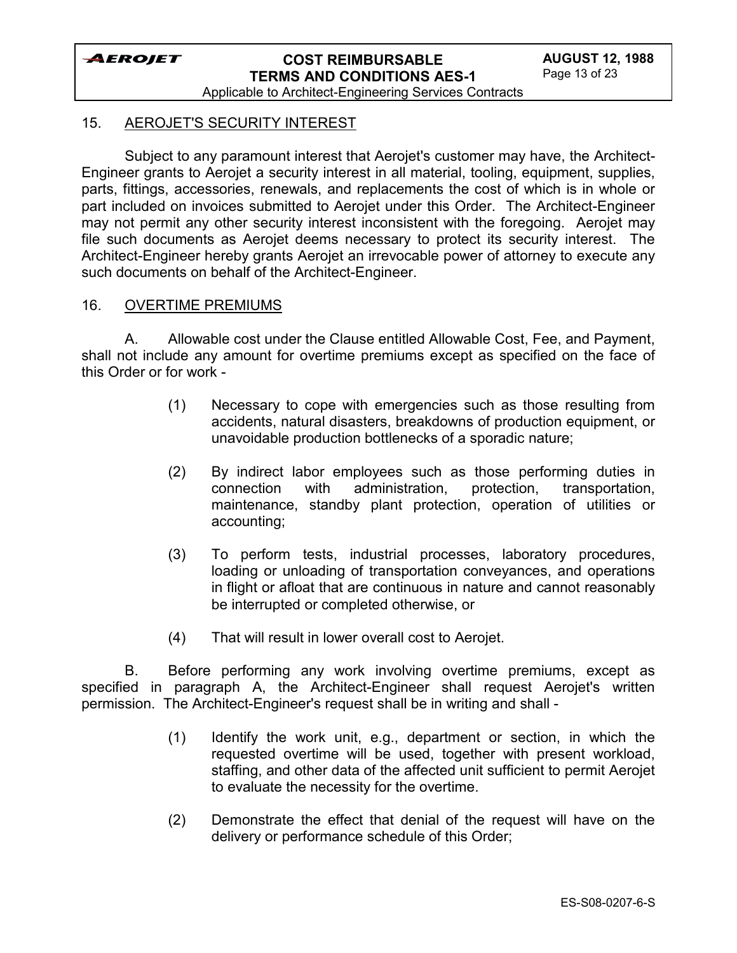

Applicable to Architect-Engineering Services Contracts

#### 15. AEROJET'S SECURITY INTEREST

Subject to any paramount interest that Aerojet's customer may have, the Architect-Engineer grants to Aerojet a security interest in all material, tooling, equipment, supplies, parts, fittings, accessories, renewals, and replacements the cost of which is in whole or part included on invoices submitted to Aerojet under this Order. The Architect-Engineer may not permit any other security interest inconsistent with the foregoing. Aerojet may file such documents as Aerojet deems necessary to protect its security interest. The Architect-Engineer hereby grants Aerojet an irrevocable power of attorney to execute any such documents on behalf of the Architect-Engineer.

#### 16. OVERTIME PREMIUMS

A. Allowable cost under the Clause entitled Allowable Cost, Fee, and Payment, shall not include any amount for overtime premiums except as specified on the face of this Order or for work -

- (1) Necessary to cope with emergencies such as those resulting from accidents, natural disasters, breakdowns of production equipment, or unavoidable production bottlenecks of a sporadic nature;
- (2) By indirect labor employees such as those performing duties in connection with administration, protection, transportation, maintenance, standby plant protection, operation of utilities or accounting;
- (3) To perform tests, industrial processes, laboratory procedures, loading or unloading of transportation conveyances, and operations in flight or afloat that are continuous in nature and cannot reasonably be interrupted or completed otherwise, or
- (4) That will result in lower overall cost to Aerojet.

B. Before performing any work involving overtime premiums, except as specified in paragraph A, the Architect-Engineer shall request Aerojet's written permission. The Architect-Engineer's request shall be in writing and shall -

- (1) Identify the work unit, e.g., department or section, in which the requested overtime will be used, together with present workload, staffing, and other data of the affected unit sufficient to permit Aerojet to evaluate the necessity for the overtime.
- (2) Demonstrate the effect that denial of the request will have on the delivery or performance schedule of this Order;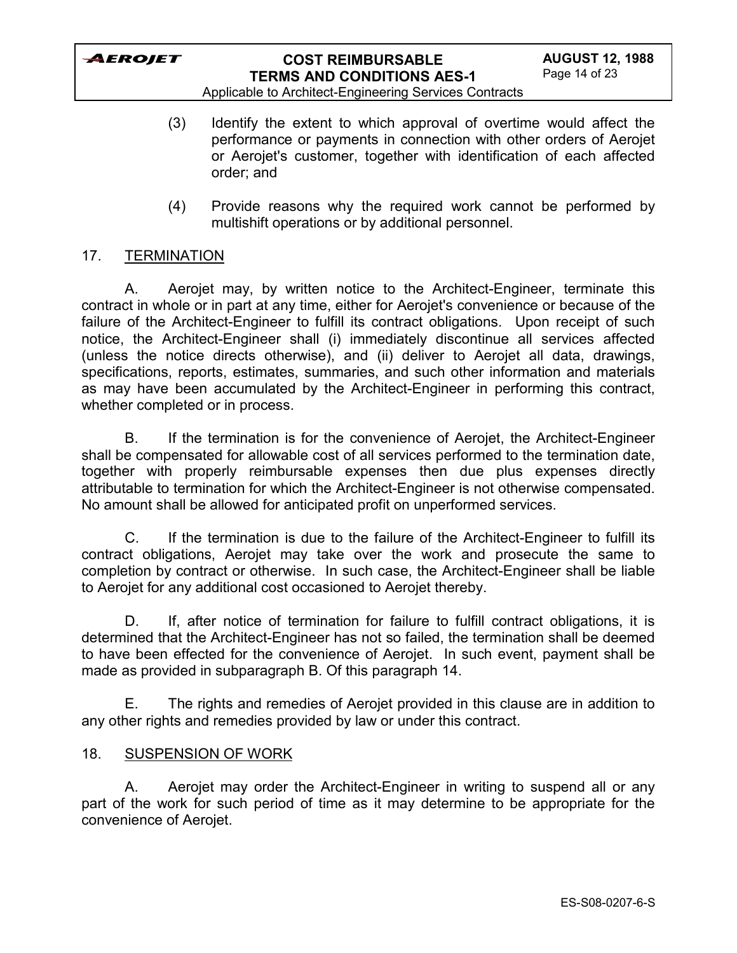

Applicable to Architect-Engineering Services Contracts

- (3) Identify the extent to which approval of overtime would affect the performance or payments in connection with other orders of Aerojet or Aerojet's customer, together with identification of each affected order; and
- (4) Provide reasons why the required work cannot be performed by multishift operations or by additional personnel.

### 17. TERMINATION

A. Aerojet may, by written notice to the Architect-Engineer, terminate this contract in whole or in part at any time, either for Aerojet's convenience or because of the failure of the Architect-Engineer to fulfill its contract obligations. Upon receipt of such notice, the Architect-Engineer shall (i) immediately discontinue all services affected (unless the notice directs otherwise), and (ii) deliver to Aerojet all data, drawings, specifications, reports, estimates, summaries, and such other information and materials as may have been accumulated by the Architect-Engineer in performing this contract, whether completed or in process.

B. If the termination is for the convenience of Aerojet, the Architect-Engineer shall be compensated for allowable cost of all services performed to the termination date, together with properly reimbursable expenses then due plus expenses directly attributable to termination for which the Architect-Engineer is not otherwise compensated. No amount shall be allowed for anticipated profit on unperformed services.

C. If the termination is due to the failure of the Architect-Engineer to fulfill its contract obligations, Aerojet may take over the work and prosecute the same to completion by contract or otherwise. In such case, the Architect-Engineer shall be liable to Aerojet for any additional cost occasioned to Aerojet thereby.

D. If, after notice of termination for failure to fulfill contract obligations, it is determined that the Architect-Engineer has not so failed, the termination shall be deemed to have been effected for the convenience of Aerojet. In such event, payment shall be made as provided in subparagraph B. Of this paragraph 14.

E. The rights and remedies of Aerojet provided in this clause are in addition to any other rights and remedies provided by law or under this contract.

### 18. SUSPENSION OF WORK

A. Aerojet may order the Architect-Engineer in writing to suspend all or any part of the work for such period of time as it may determine to be appropriate for the convenience of Aerojet.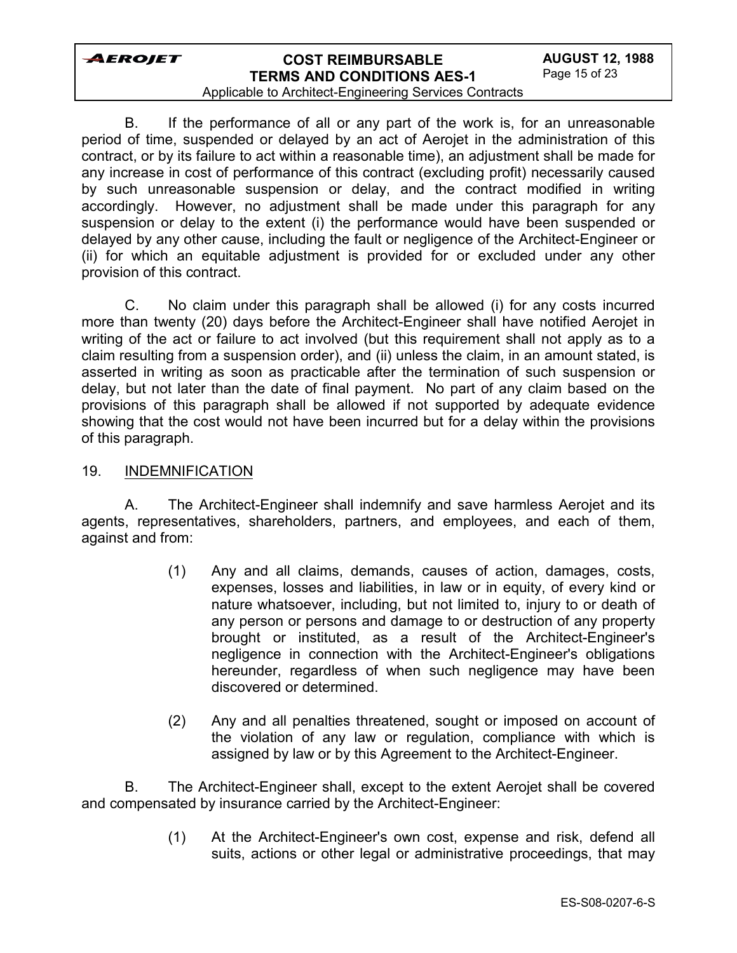# **COST REIMBURSABLE TERMS AND CONDITIONS AES-1**

#### Applicable to Architect-Engineering Services Contracts

B. If the performance of all or any part of the work is, for an unreasonable period of time, suspended or delayed by an act of Aerojet in the administration of this contract, or by its failure to act within a reasonable time), an adjustment shall be made for any increase in cost of performance of this contract (excluding profit) necessarily caused by such unreasonable suspension or delay, and the contract modified in writing accordingly. However, no adjustment shall be made under this paragraph for any suspension or delay to the extent (i) the performance would have been suspended or delayed by any other cause, including the fault or negligence of the Architect-Engineer or (ii) for which an equitable adjustment is provided for or excluded under any other provision of this contract.

C. No claim under this paragraph shall be allowed (i) for any costs incurred more than twenty (20) days before the Architect-Engineer shall have notified Aerojet in writing of the act or failure to act involved (but this requirement shall not apply as to a claim resulting from a suspension order), and (ii) unless the claim, in an amount stated, is asserted in writing as soon as practicable after the termination of such suspension or delay, but not later than the date of final payment. No part of any claim based on the provisions of this paragraph shall be allowed if not supported by adequate evidence showing that the cost would not have been incurred but for a delay within the provisions of this paragraph.

### 19. INDEMNIFICATION

A. The Architect-Engineer shall indemnify and save harmless Aerojet and its agents, representatives, shareholders, partners, and employees, and each of them, against and from:

- (1) Any and all claims, demands, causes of action, damages, costs, expenses, losses and liabilities, in law or in equity, of every kind or nature whatsoever, including, but not limited to, injury to or death of any person or persons and damage to or destruction of any property brought or instituted, as a result of the Architect-Engineer's negligence in connection with the Architect-Engineer's obligations hereunder, regardless of when such negligence may have been discovered or determined.
- (2) Any and all penalties threatened, sought or imposed on account of the violation of any law or regulation, compliance with which is assigned by law or by this Agreement to the Architect-Engineer.

B. The Architect-Engineer shall, except to the extent Aerojet shall be covered and compensated by insurance carried by the Architect-Engineer:

> (1) At the Architect-Engineer's own cost, expense and risk, defend all suits, actions or other legal or administrative proceedings, that may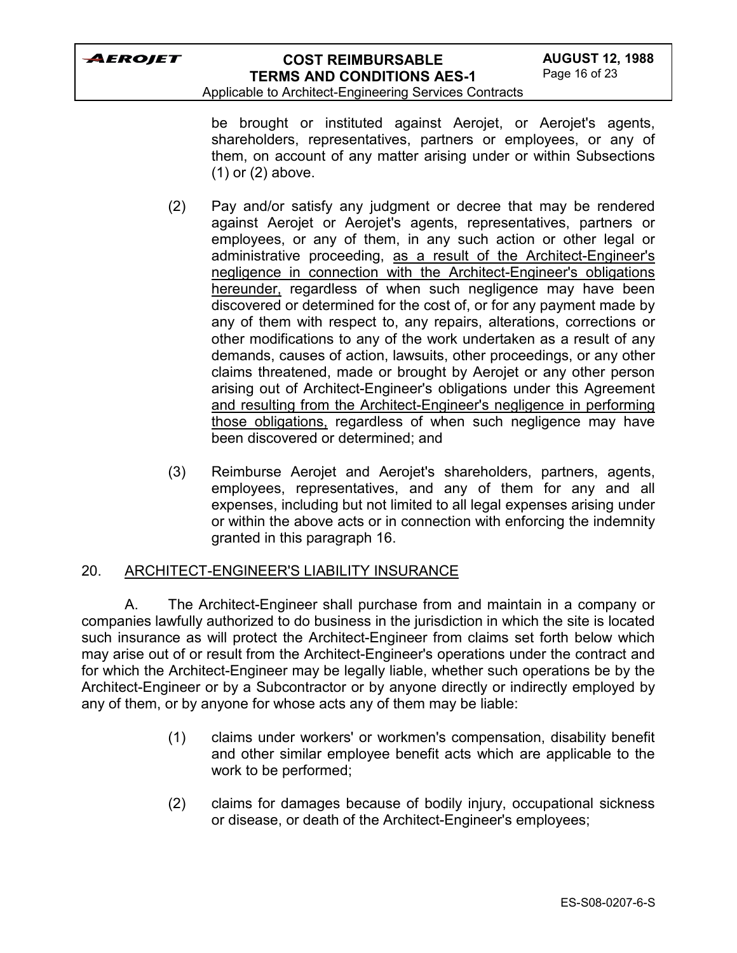

Applicable to Architect-Engineering Services Contracts

be brought or instituted against Aerojet, or Aerojet's agents, shareholders, representatives, partners or employees, or any of them, on account of any matter arising under or within Subsections (1) or (2) above.

- (2) Pay and/or satisfy any judgment or decree that may be rendered against Aerojet or Aerojet's agents, representatives, partners or employees, or any of them, in any such action or other legal or administrative proceeding, as a result of the Architect-Engineer's negligence in connection with the Architect-Engineer's obligations hereunder, regardless of when such negligence may have been discovered or determined for the cost of, or for any payment made by any of them with respect to, any repairs, alterations, corrections or other modifications to any of the work undertaken as a result of any demands, causes of action, lawsuits, other proceedings, or any other claims threatened, made or brought by Aerojet or any other person arising out of Architect-Engineer's obligations under this Agreement and resulting from the Architect-Engineer's negligence in performing those obligations, regardless of when such negligence may have been discovered or determined; and
- (3) Reimburse Aerojet and Aerojet's shareholders, partners, agents, employees, representatives, and any of them for any and all expenses, including but not limited to all legal expenses arising under or within the above acts or in connection with enforcing the indemnity granted in this paragraph 16.

### 20. ARCHITECT-ENGINEER'S LIABILITY INSURANCE

A. The Architect-Engineer shall purchase from and maintain in a company or companies lawfully authorized to do business in the jurisdiction in which the site is located such insurance as will protect the Architect-Engineer from claims set forth below which may arise out of or result from the Architect-Engineer's operations under the contract and for which the Architect-Engineer may be legally liable, whether such operations be by the Architect-Engineer or by a Subcontractor or by anyone directly or indirectly employed by any of them, or by anyone for whose acts any of them may be liable:

- (1) claims under workers' or workmen's compensation, disability benefit and other similar employee benefit acts which are applicable to the work to be performed;
- (2) claims for damages because of bodily injury, occupational sickness or disease, or death of the Architect-Engineer's employees;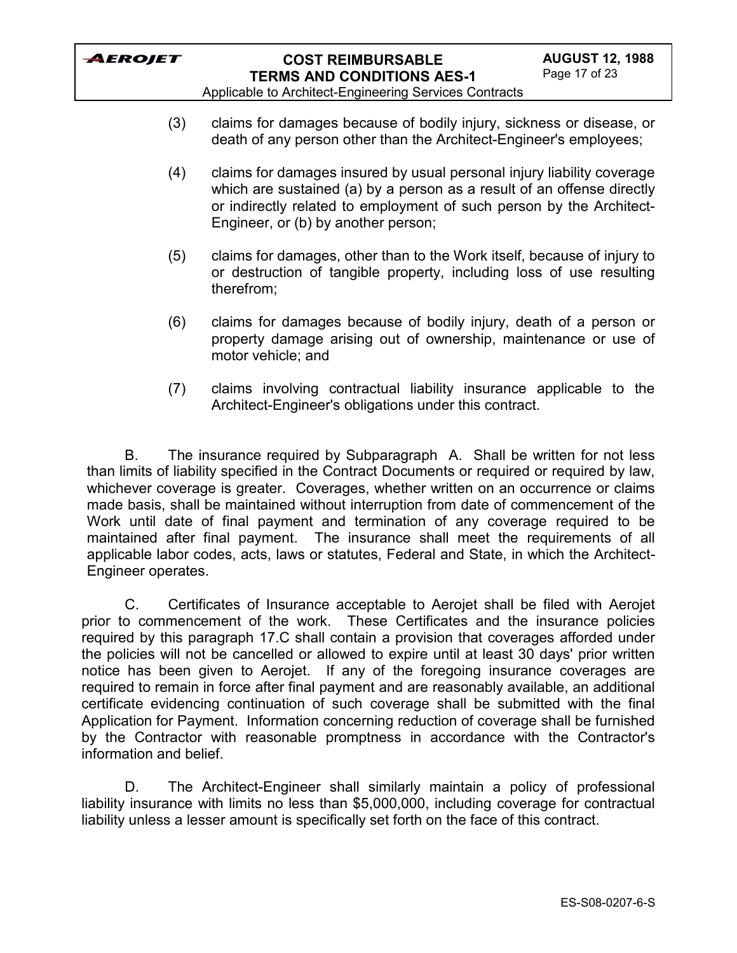

Applicable to Architect-Engineering Services Contracts

- (3) claims for damages because of bodily injury, sickness or disease, or death of any person other than the Architect-Engineer's employees;
- (4) claims for damages insured by usual personal injury liability coverage which are sustained (a) by a person as a result of an offense directly or indirectly related to employment of such person by the Architect-Engineer, or (b) by another person;
- (5) claims for damages, other than to the Work itself, because of injury to or destruction of tangible property, including loss of use resulting therefrom;
- (6) claims for damages because of bodily injury, death of a person or property damage arising out of ownership, maintenance or use of motor vehicle; and
- (7) claims involving contractual liability insurance applicable to the Architect-Engineer's obligations under this contract.

B. The insurance required by Subparagraph A. Shall be written for not less than limits of liability specified in the Contract Documents or required or required by law, whichever coverage is greater. Coverages, whether written on an occurrence or claims made basis, shall be maintained without interruption from date of commencement of the Work until date of final payment and termination of any coverage required to be maintained after final payment. The insurance shall meet the requirements of all applicable labor codes, acts, laws or statutes, Federal and State, in which the Architect-Engineer operates.

C. Certificates of Insurance acceptable to Aerojet shall be filed with Aerojet prior to commencement of the work. These Certificates and the insurance policies required by this paragraph 17.C shall contain a provision that coverages afforded under the policies will not be cancelled or allowed to expire until at least 30 days' prior written notice has been given to Aerojet. If any of the foregoing insurance coverages are required to remain in force after final payment and are reasonably available, an additional certificate evidencing continuation of such coverage shall be submitted with the final Application for Payment. Information concerning reduction of coverage shall be furnished by the Contractor with reasonable promptness in accordance with the Contractor's information and belief.

D. The Architect-Engineer shall similarly maintain a policy of professional liability insurance with limits no less than \$5,000,000, including coverage for contractual liability unless a lesser amount is specifically set forth on the face of this contract.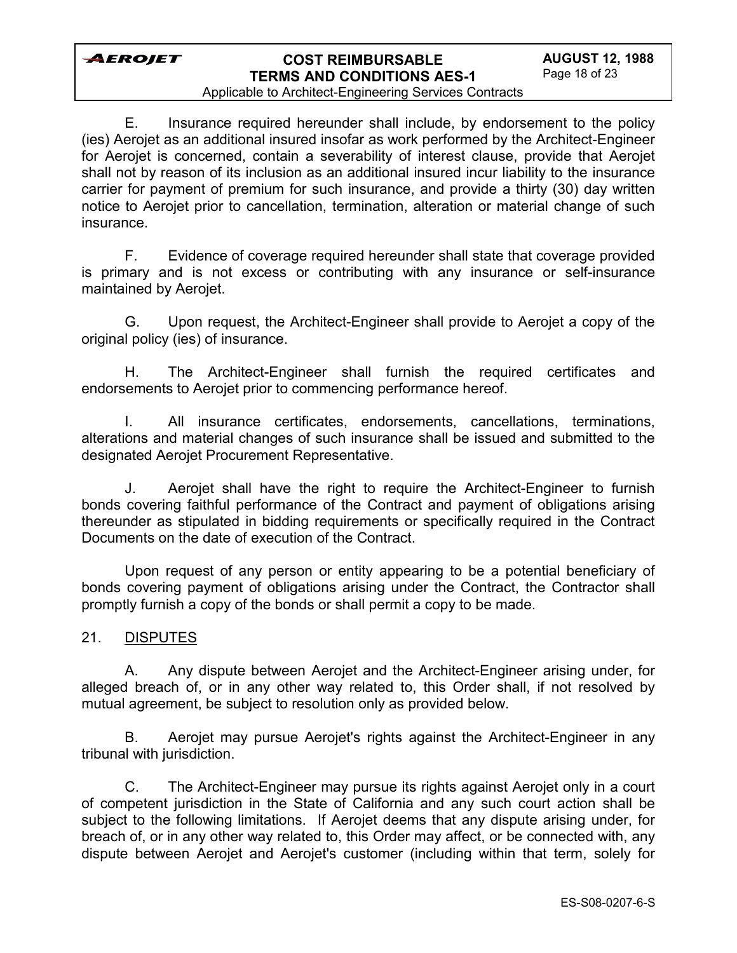# **COST REIMBURSABLE TERMS AND CONDITIONS AES-1**

### Applicable to Architect-Engineering Services Contracts

E. Insurance required hereunder shall include, by endorsement to the policy (ies) Aerojet as an additional insured insofar as work performed by the Architect-Engineer for Aerojet is concerned, contain a severability of interest clause, provide that Aerojet shall not by reason of its inclusion as an additional insured incur liability to the insurance carrier for payment of premium for such insurance, and provide a thirty (30) day written notice to Aerojet prior to cancellation, termination, alteration or material change of such insurance.

F. Evidence of coverage required hereunder shall state that coverage provided is primary and is not excess or contributing with any insurance or self-insurance maintained by Aerojet.

G. Upon request, the Architect-Engineer shall provide to Aerojet a copy of the original policy (ies) of insurance.

H. The Architect-Engineer shall furnish the required certificates and endorsements to Aerojet prior to commencing performance hereof.

I. All insurance certificates, endorsements, cancellations, terminations, alterations and material changes of such insurance shall be issued and submitted to the designated Aerojet Procurement Representative.

J. Aerojet shall have the right to require the Architect-Engineer to furnish bonds covering faithful performance of the Contract and payment of obligations arising thereunder as stipulated in bidding requirements or specifically required in the Contract Documents on the date of execution of the Contract.

Upon request of any person or entity appearing to be a potential beneficiary of bonds covering payment of obligations arising under the Contract, the Contractor shall promptly furnish a copy of the bonds or shall permit a copy to be made.

### 21. DISPUTES

A. Any dispute between Aerojet and the Architect-Engineer arising under, for alleged breach of, or in any other way related to, this Order shall, if not resolved by mutual agreement, be subject to resolution only as provided below.

B. Aerojet may pursue Aerojet's rights against the Architect-Engineer in any tribunal with jurisdiction.

C. The Architect-Engineer may pursue its rights against Aerojet only in a court of competent jurisdiction in the State of California and any such court action shall be subject to the following limitations. If Aerojet deems that any dispute arising under, for breach of, or in any other way related to, this Order may affect, or be connected with, any dispute between Aerojet and Aerojet's customer (including within that term, solely for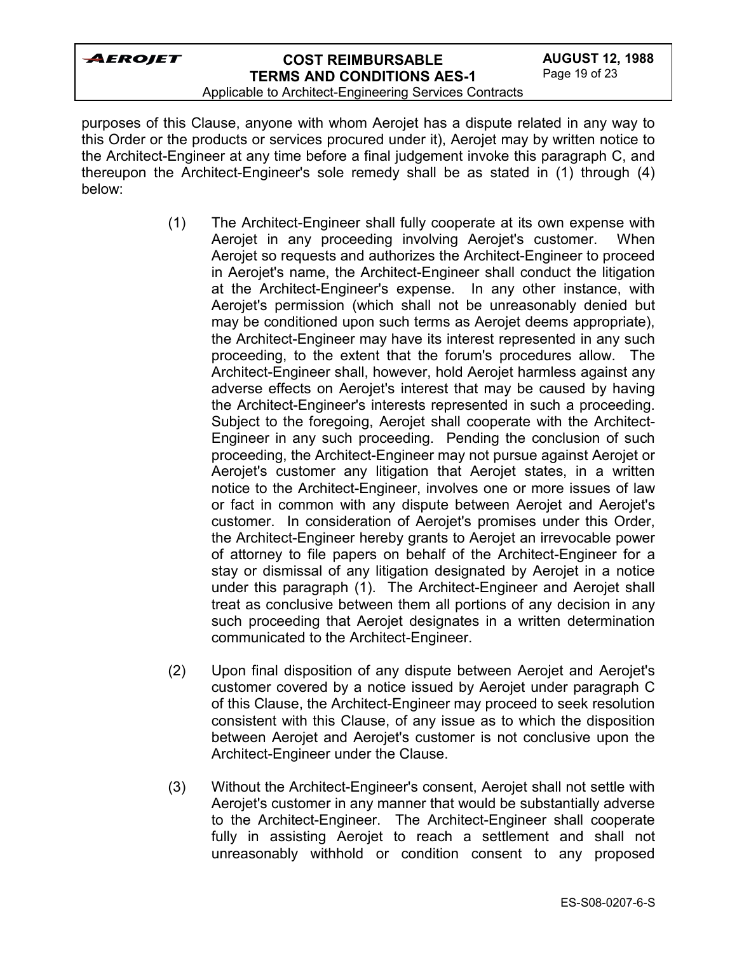#### Applicable to Architect-Engineering Services Contracts

purposes of this Clause, anyone with whom Aerojet has a dispute related in any way to this Order or the products or services procured under it), Aerojet may by written notice to the Architect-Engineer at any time before a final judgement invoke this paragraph C, and thereupon the Architect-Engineer's sole remedy shall be as stated in (1) through (4) below:

- (1) The Architect-Engineer shall fully cooperate at its own expense with Aerojet in any proceeding involving Aerojet's customer. When Aerojet so requests and authorizes the Architect-Engineer to proceed in Aerojet's name, the Architect-Engineer shall conduct the litigation at the Architect-Engineer's expense. In any other instance, with Aerojet's permission (which shall not be unreasonably denied but may be conditioned upon such terms as Aerojet deems appropriate), the Architect-Engineer may have its interest represented in any such proceeding, to the extent that the forum's procedures allow. The Architect-Engineer shall, however, hold Aerojet harmless against any adverse effects on Aerojet's interest that may be caused by having the Architect-Engineer's interests represented in such a proceeding. Subject to the foregoing, Aerojet shall cooperate with the Architect-Engineer in any such proceeding. Pending the conclusion of such proceeding, the Architect-Engineer may not pursue against Aerojet or Aerojet's customer any litigation that Aerojet states, in a written notice to the Architect-Engineer, involves one or more issues of law or fact in common with any dispute between Aerojet and Aerojet's customer. In consideration of Aerojet's promises under this Order, the Architect-Engineer hereby grants to Aerojet an irrevocable power of attorney to file papers on behalf of the Architect-Engineer for a stay or dismissal of any litigation designated by Aerojet in a notice under this paragraph (1). The Architect-Engineer and Aerojet shall treat as conclusive between them all portions of any decision in any such proceeding that Aerojet designates in a written determination communicated to the Architect-Engineer.
- (2) Upon final disposition of any dispute between Aerojet and Aerojet's customer covered by a notice issued by Aerojet under paragraph C of this Clause, the Architect-Engineer may proceed to seek resolution consistent with this Clause, of any issue as to which the disposition between Aerojet and Aerojet's customer is not conclusive upon the Architect-Engineer under the Clause.
- (3) Without the Architect-Engineer's consent, Aerojet shall not settle with Aerojet's customer in any manner that would be substantially adverse to the Architect-Engineer. The Architect-Engineer shall cooperate fully in assisting Aerojet to reach a settlement and shall not unreasonably withhold or condition consent to any proposed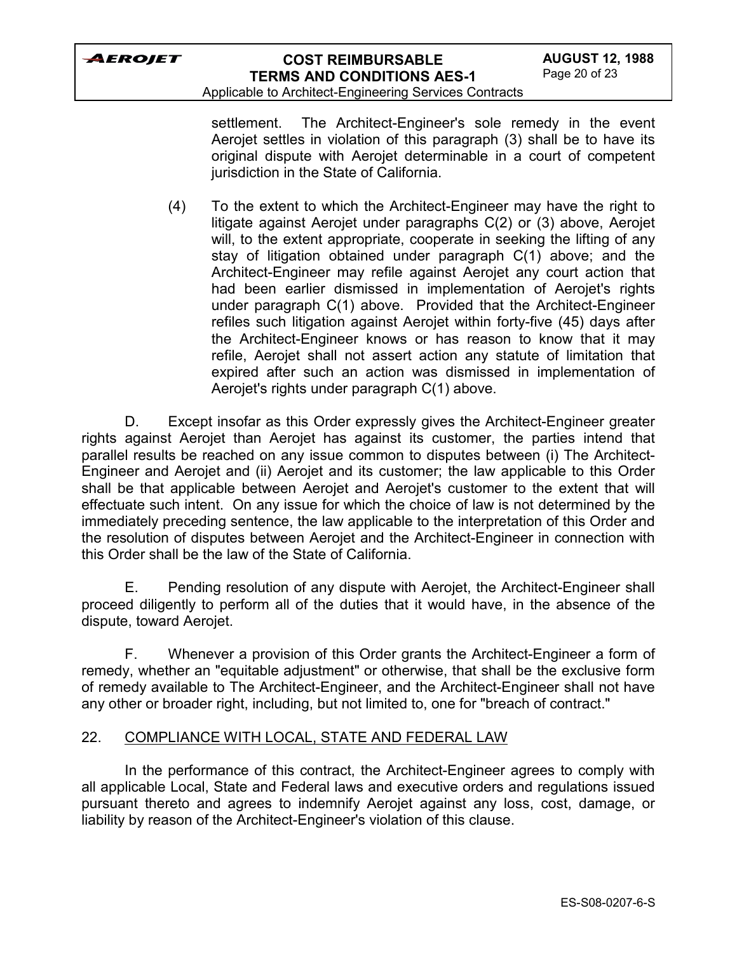Applicable to Architect-Engineering Services Contracts

settlement. The Architect-Engineer's sole remedy in the event Aerojet settles in violation of this paragraph (3) shall be to have its original dispute with Aerojet determinable in a court of competent jurisdiction in the State of California.

(4) To the extent to which the Architect-Engineer may have the right to litigate against Aerojet under paragraphs C(2) or (3) above, Aerojet will, to the extent appropriate, cooperate in seeking the lifting of any stay of litigation obtained under paragraph C(1) above; and the Architect-Engineer may refile against Aerojet any court action that had been earlier dismissed in implementation of Aerojet's rights under paragraph C(1) above. Provided that the Architect-Engineer refiles such litigation against Aerojet within forty-five (45) days after the Architect-Engineer knows or has reason to know that it may refile, Aerojet shall not assert action any statute of limitation that expired after such an action was dismissed in implementation of Aerojet's rights under paragraph C(1) above.

D. Except insofar as this Order expressly gives the Architect-Engineer greater rights against Aerojet than Aerojet has against its customer, the parties intend that parallel results be reached on any issue common to disputes between (i) The Architect-Engineer and Aerojet and (ii) Aerojet and its customer; the law applicable to this Order shall be that applicable between Aerojet and Aerojet's customer to the extent that will effectuate such intent. On any issue for which the choice of law is not determined by the immediately preceding sentence, the law applicable to the interpretation of this Order and the resolution of disputes between Aerojet and the Architect-Engineer in connection with this Order shall be the law of the State of California.

E. Pending resolution of any dispute with Aerojet, the Architect-Engineer shall proceed diligently to perform all of the duties that it would have, in the absence of the dispute, toward Aerojet.

F. Whenever a provision of this Order grants the Architect-Engineer a form of remedy, whether an "equitable adjustment" or otherwise, that shall be the exclusive form of remedy available to The Architect-Engineer, and the Architect-Engineer shall not have any other or broader right, including, but not limited to, one for "breach of contract."

### 22. COMPLIANCE WITH LOCAL, STATE AND FEDERAL LAW

In the performance of this contract, the Architect-Engineer agrees to comply with all applicable Local, State and Federal laws and executive orders and regulations issued pursuant thereto and agrees to indemnify Aerojet against any loss, cost, damage, or liability by reason of the Architect-Engineer's violation of this clause.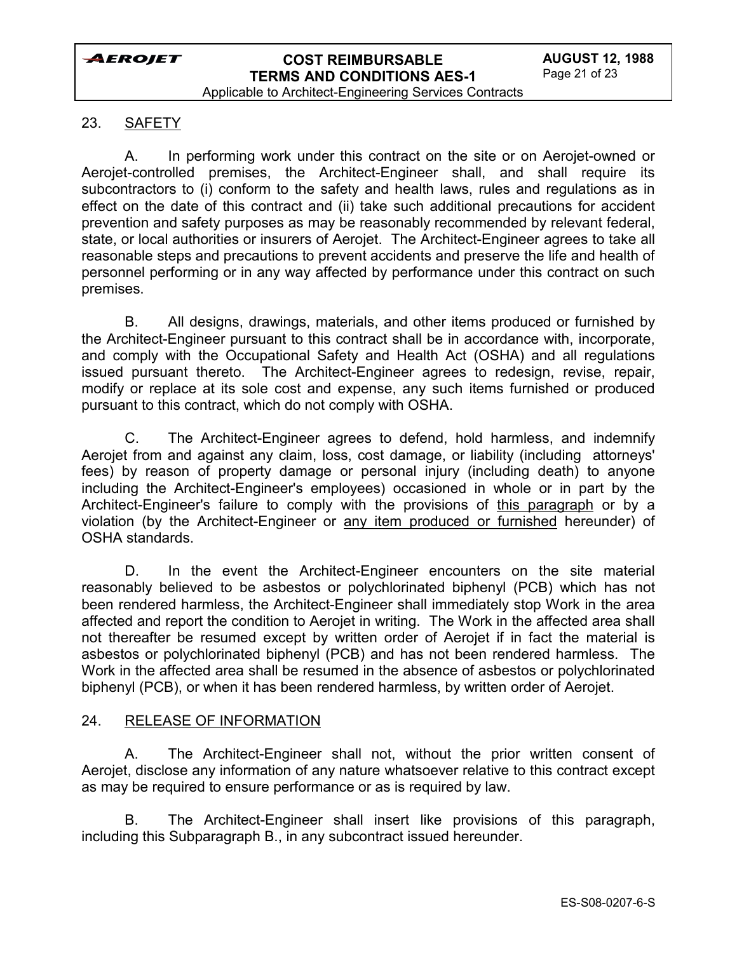### 23. SAFETY

A. In performing work under this contract on the site or on Aerojet-owned or Aerojet-controlled premises, the Architect-Engineer shall, and shall require its subcontractors to (i) conform to the safety and health laws, rules and regulations as in effect on the date of this contract and (ii) take such additional precautions for accident prevention and safety purposes as may be reasonably recommended by relevant federal, state, or local authorities or insurers of Aerojet. The Architect-Engineer agrees to take all reasonable steps and precautions to prevent accidents and preserve the life and health of personnel performing or in any way affected by performance under this contract on such premises.

B. All designs, drawings, materials, and other items produced or furnished by the Architect-Engineer pursuant to this contract shall be in accordance with, incorporate, and comply with the Occupational Safety and Health Act (OSHA) and all regulations issued pursuant thereto. The Architect-Engineer agrees to redesign, revise, repair, modify or replace at its sole cost and expense, any such items furnished or produced pursuant to this contract, which do not comply with OSHA.

C. The Architect-Engineer agrees to defend, hold harmless, and indemnify Aerojet from and against any claim, loss, cost damage, or liability (including attorneys' fees) by reason of property damage or personal injury (including death) to anyone including the Architect-Engineer's employees) occasioned in whole or in part by the Architect-Engineer's failure to comply with the provisions of this paragraph or by a violation (by the Architect-Engineer or any item produced or furnished hereunder) of OSHA standards.

D. In the event the Architect-Engineer encounters on the site material reasonably believed to be asbestos or polychlorinated biphenyl (PCB) which has not been rendered harmless, the Architect-Engineer shall immediately stop Work in the area affected and report the condition to Aerojet in writing. The Work in the affected area shall not thereafter be resumed except by written order of Aerojet if in fact the material is asbestos or polychlorinated biphenyl (PCB) and has not been rendered harmless. The Work in the affected area shall be resumed in the absence of asbestos or polychlorinated biphenyl (PCB), or when it has been rendered harmless, by written order of Aerojet.

#### 24. RELEASE OF INFORMATION

A. The Architect-Engineer shall not, without the prior written consent of Aerojet, disclose any information of any nature whatsoever relative to this contract except as may be required to ensure performance or as is required by law.

B. The Architect-Engineer shall insert like provisions of this paragraph, including this Subparagraph B., in any subcontract issued hereunder.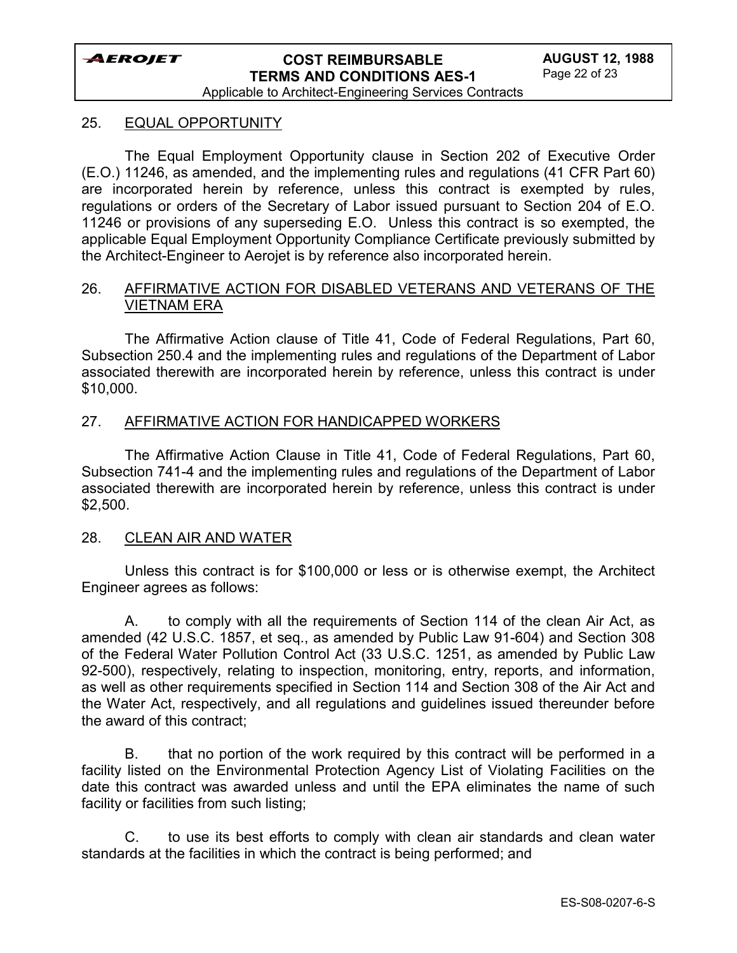# **COST REIMBURSABLE TERMS AND CONDITIONS AES-1**

Applicable to Architect-Engineering Services Contracts

#### 25. EQUAL OPPORTUNITY

The Equal Employment Opportunity clause in Section 202 of Executive Order (E.O.) 11246, as amended, and the implementing rules and regulations (41 CFR Part 60) are incorporated herein by reference, unless this contract is exempted by rules, regulations or orders of the Secretary of Labor issued pursuant to Section 204 of E.O. 11246 or provisions of any superseding E.O. Unless this contract is so exempted, the applicable Equal Employment Opportunity Compliance Certificate previously submitted by the Architect-Engineer to Aerojet is by reference also incorporated herein.

#### 26. AFFIRMATIVE ACTION FOR DISABLED VETERANS AND VETERANS OF THE VIETNAM ERA

The Affirmative Action clause of Title 41, Code of Federal Regulations, Part 60, Subsection 250.4 and the implementing rules and regulations of the Department of Labor associated therewith are incorporated herein by reference, unless this contract is under \$10,000.

#### 27. AFFIRMATIVE ACTION FOR HANDICAPPED WORKERS

The Affirmative Action Clause in Title 41, Code of Federal Regulations, Part 60, Subsection 741-4 and the implementing rules and regulations of the Department of Labor associated therewith are incorporated herein by reference, unless this contract is under \$2,500.

#### 28. CLEAN AIR AND WATER

Unless this contract is for \$100,000 or less or is otherwise exempt, the Architect Engineer agrees as follows:

A. to comply with all the requirements of Section 114 of the clean Air Act, as amended (42 U.S.C. 1857, et seq., as amended by Public Law 91-604) and Section 308 of the Federal Water Pollution Control Act (33 U.S.C. 1251, as amended by Public Law 92-500), respectively, relating to inspection, monitoring, entry, reports, and information, as well as other requirements specified in Section 114 and Section 308 of the Air Act and the Water Act, respectively, and all regulations and guidelines issued thereunder before the award of this contract;

B. that no portion of the work required by this contract will be performed in a facility listed on the Environmental Protection Agency List of Violating Facilities on the date this contract was awarded unless and until the EPA eliminates the name of such facility or facilities from such listing;

C. to use its best efforts to comply with clean air standards and clean water standards at the facilities in which the contract is being performed; and